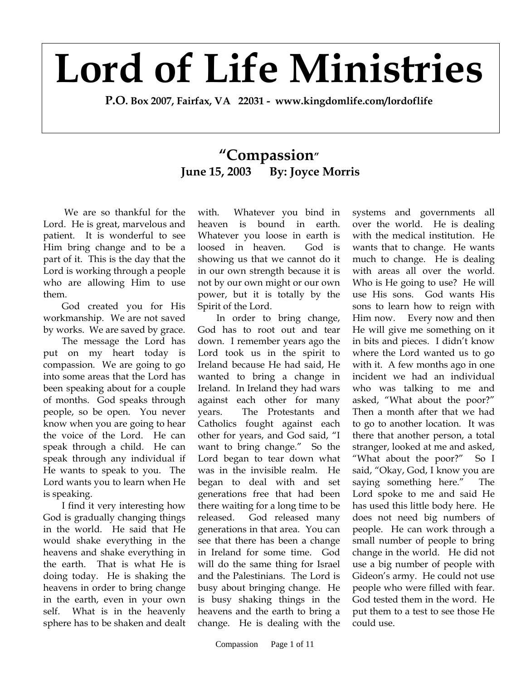## **Lord of Life Ministries**

**P.O. Box 2007, Fairfax, VA 22031 - www.kingdomlife.com/lordoflife** 

## **"Compassion" June 15, 2003 By: Joyce Morris**

 We are so thankful for the Lord. He is great, marvelous and patient. It is wonderful to see Him bring change and to be a part of it. This is the day that the Lord is working through a people who are allowing Him to use them.

God created you for His workmanship. We are not saved by works. We are saved by grace.

The message the Lord has put on my heart today is compassion. We are going to go into some areas that the Lord has been speaking about for a couple of months. God speaks through people, so be open. You never know when you are going to hear the voice of the Lord. He can speak through a child. He can speak through any individual if He wants to speak to you. The Lord wants you to learn when He is speaking.

I find it very interesting how God is gradually changing things in the world. He said that He would shake everything in the heavens and shake everything in the earth. That is what He is doing today. He is shaking the heavens in order to bring change in the earth, even in your own self. What is in the heavenly sphere has to be shaken and dealt with. Whatever you bind in heaven is bound in earth. Whatever you loose in earth is loosed in heaven. God is showing us that we cannot do it in our own strength because it is not by our own might or our own power, but it is totally by the Spirit of the Lord.

In order to bring change, God has to root out and tear down. I remember years ago the Lord took us in the spirit to Ireland because He had said, He wanted to bring a change in Ireland. In Ireland they had wars against each other for many years. The Protestants and Catholics fought against each other for years, and God said, "I want to bring change." So the Lord began to tear down what was in the invisible realm. He began to deal with and set generations free that had been there waiting for a long time to be released. God released many generations in that area. You can see that there has been a change in Ireland for some time. God will do the same thing for Israel and the Palestinians. The Lord is busy about bringing change. He is busy shaking things in the heavens and the earth to bring a change. He is dealing with the

systems and governments all over the world. He is dealing with the medical institution. He wants that to change. He wants much to change. He is dealing with areas all over the world. Who is He going to use? He will use His sons. God wants His sons to learn how to reign with Him now. Every now and then He will give me something on it in bits and pieces. I didn't know where the Lord wanted us to go with it. A few months ago in one incident we had an individual who was talking to me and asked, "What about the poor?" Then a month after that we had to go to another location. It was there that another person, a total stranger, looked at me and asked, "What about the poor?" So I said, "Okay, God, I know you are saying something here." The Lord spoke to me and said He has used this little body here. He does not need big numbers of people. He can work through a small number of people to bring change in the world. He did not use a big number of people with Gideon's army. He could not use people who were filled with fear. God tested them in the word. He put them to a test to see those He could use.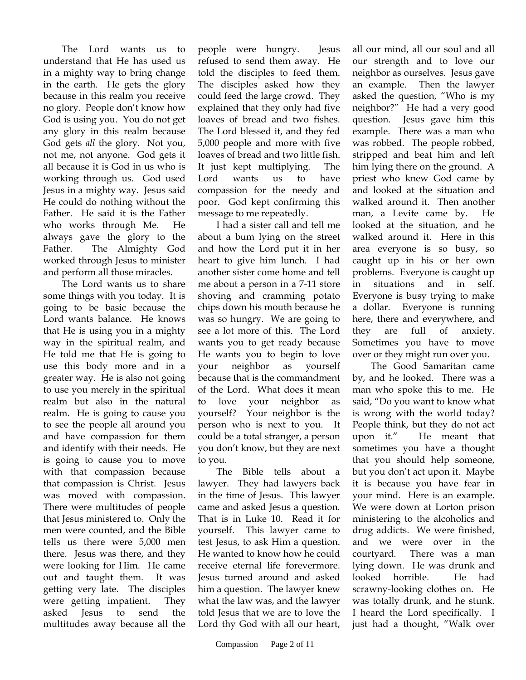The Lord wants us to understand that He has used us in a mighty way to bring change in the earth. He gets the glory because in this realm you receive no glory. People don't know how God is using you. You do not get any glory in this realm because God gets *all* the glory. Not you, not me, not anyone. God gets it all because it is God in us who is working through us. God used Jesus in a mighty way. Jesus said He could do nothing without the Father. He said it is the Father who works through Me. He always gave the glory to the Father. The Almighty God worked through Jesus to minister and perform all those miracles.

The Lord wants us to share some things with you today. It is going to be basic because the Lord wants balance. He knows that He is using you in a mighty way in the spiritual realm, and He told me that He is going to use this body more and in a greater way. He is also not going to use you merely in the spiritual realm but also in the natural realm. He is going to cause you to see the people all around you and have compassion for them and identify with their needs. He is going to cause you to move with that compassion because that compassion is Christ. Jesus was moved with compassion. There were multitudes of people that Jesus ministered to. Only the men were counted, and the Bible tells us there were 5,000 men there. Jesus was there, and they were looking for Him. He came out and taught them. It was getting very late. The disciples were getting impatient. They asked Jesus to send the multitudes away because all the

people were hungry. Jesus refused to send them away. He told the disciples to feed them. The disciples asked how they could feed the large crowd. They explained that they only had five loaves of bread and two fishes. The Lord blessed it, and they fed 5,000 people and more with five loaves of bread and two little fish. It just kept multiplying. The Lord wants us to have compassion for the needy and poor. God kept confirming this message to me repeatedly.

I had a sister call and tell me about a bum lying on the street and how the Lord put it in her heart to give him lunch. I had another sister come home and tell me about a person in a 7-11 store shoving and cramming potato chips down his mouth because he was so hungry. We are going to see a lot more of this. The Lord wants you to get ready because He wants you to begin to love your neighbor as yourself because that is the commandment of the Lord. What does it mean to love your neighbor as yourself? Your neighbor is the person who is next to you. It could be a total stranger, a person you don't know, but they are next to you.

The Bible tells about a lawyer. They had lawyers back in the time of Jesus. This lawyer came and asked Jesus a question. That is in Luke 10. Read it for yourself. This lawyer came to test Jesus, to ask Him a question. He wanted to know how he could receive eternal life forevermore. Jesus turned around and asked him a question. The lawyer knew what the law was, and the lawyer told Jesus that we are to love the Lord thy God with all our heart,

all our mind, all our soul and all our strength and to love our neighbor as ourselves. Jesus gave an example. Then the lawyer asked the question, "Who is my neighbor?" He had a very good question. Jesus gave him this example. There was a man who was robbed. The people robbed, stripped and beat him and left him lying there on the ground. A priest who knew God came by and looked at the situation and walked around it. Then another man, a Levite came by. He looked at the situation, and he walked around it. Here in this area everyone is so busy, so caught up in his or her own problems. Everyone is caught up in situations and in self. Everyone is busy trying to make a dollar. Everyone is running here, there and everywhere, and they are full of anxiety. Sometimes you have to move over or they might run over you.

The Good Samaritan came by, and he looked. There was a man who spoke this to me. He said, "Do you want to know what is wrong with the world today? People think, but they do not act upon it." He meant that sometimes you have a thought that you should help someone, but you don't act upon it. Maybe it is because you have fear in your mind. Here is an example. We were down at Lorton prison ministering to the alcoholics and drug addicts. We were finished, and we were over in the courtyard. There was a man lying down. He was drunk and looked horrible. He had scrawny-looking clothes on. He was totally drunk, and he stunk. I heard the Lord specifically. I just had a thought, "Walk over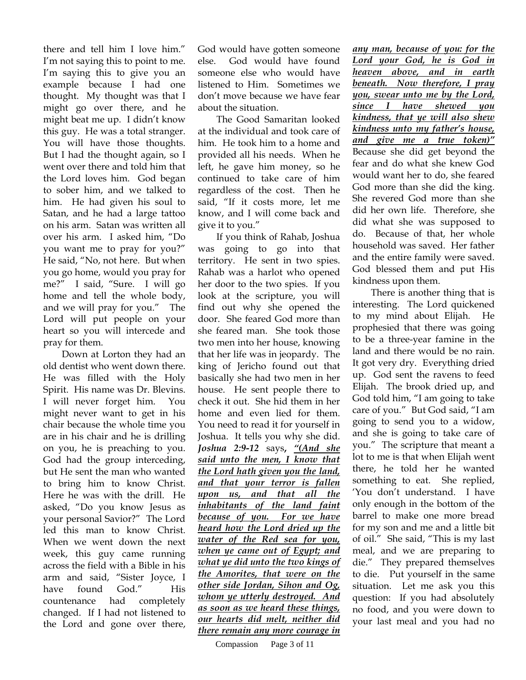there and tell him I love him." I'm not saying this to point to me. I'm saying this to give you an example because I had one thought. My thought was that I might go over there, and he might beat me up. I didn't know this guy. He was a total stranger. You will have those thoughts. But I had the thought again, so I went over there and told him that the Lord loves him. God began to sober him, and we talked to him. He had given his soul to Satan, and he had a large tattoo on his arm. Satan was written all over his arm. I asked him, "Do you want me to pray for you?" He said, "No, not here. But when you go home, would you pray for me?" I said, "Sure. I will go home and tell the whole body, and we will pray for you." The Lord will put people on your heart so you will intercede and pray for them.

Down at Lorton they had an old dentist who went down there. He was filled with the Holy Spirit. His name was Dr. Blevins. I will never forget him. You might never want to get in his chair because the whole time you are in his chair and he is drilling on you, he is preaching to you. God had the group interceding, but He sent the man who wanted to bring him to know Christ. Here he was with the drill. He asked, "Do you know Jesus as your personal Savior?" The Lord led this man to know Christ. When we went down the next week, this guy came running across the field with a Bible in his arm and said, "Sister Joyce, I have found God." His countenance had completely changed. If I had not listened to the Lord and gone over there,

God would have gotten someone else. God would have found someone else who would have listened to Him. Sometimes we don't move because we have fear about the situation.

The Good Samaritan looked at the individual and took care of him. He took him to a home and provided all his needs. When he left, he gave him money, so he continued to take care of him regardless of the cost. Then he said, "If it costs more, let me know, and I will come back and give it to you."

If you think of Rahab, Joshua was going to go into that territory. He sent in two spies. Rahab was a harlot who opened her door to the two spies. If you look at the scripture, you will find out why she opened the door. She feared God more than she feared man. She took those two men into her house, knowing that her life was in jeopardy. The king of Jericho found out that basically she had two men in her house. He sent people there to check it out. She hid them in her home and even lied for them. You need to read it for yourself in Joshua. It tells you why she did. *Joshua 2:9-12* says**,** *"(And she said unto the men, I know that the Lord hath given you the land, and that your terror is fallen upon us, and that all the inhabitants of the land faint because of you. For we have heard how the Lord dried up the water of the Red sea for you, when ye came out of Egypt; and what ye did unto the two kings of the Amorites, that were on the other side Jordan, Sihon and Og, whom ye utterly destroyed. And as soon as we heard these things, our hearts did melt, neither did there remain any more courage in*  *any man, because of you: for the Lord your God, he is God in heaven above, and in earth beneath. Now therefore, I pray you, swear unto me by the Lord, since I have shewed you kindness, that ye will also shew kindness unto my father's house, and give me a true token)"* Because she did get beyond the fear and do what she knew God would want her to do, she feared God more than she did the king. She revered God more than she did her own life. Therefore, she did what she was supposed to do. Because of that, her whole household was saved. Her father and the entire family were saved. God blessed them and put His kindness upon them.

There is another thing that is interesting. The Lord quickened to my mind about Elijah. He prophesied that there was going to be a three-year famine in the land and there would be no rain. It got very dry. Everything dried up. God sent the ravens to feed Elijah. The brook dried up, and God told him, "I am going to take care of you." But God said, "I am going to send you to a widow, and she is going to take care of you." The scripture that meant a lot to me is that when Elijah went there, he told her he wanted something to eat. She replied, 'You don't understand. I have only enough in the bottom of the barrel to make one more bread for my son and me and a little bit of oil." She said, "This is my last meal, and we are preparing to die." They prepared themselves to die. Put yourself in the same situation. Let me ask you this question: If you had absolutely no food, and you were down to your last meal and you had no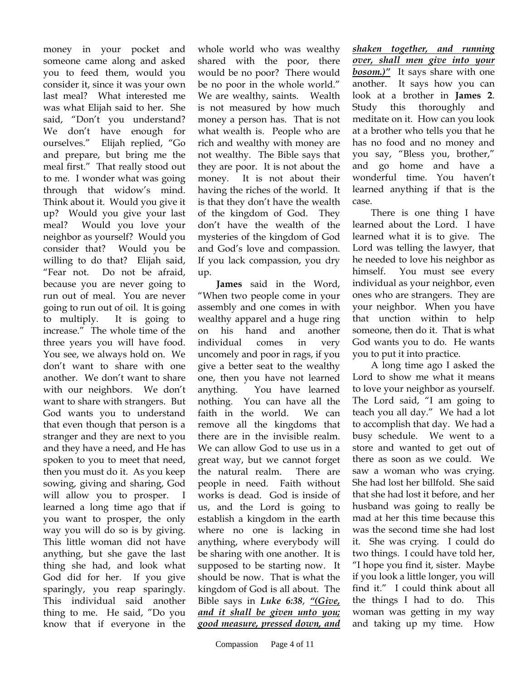money in your pocket and someone came along and asked you to feed them, would you consider it, since it was your own last meal? What interested me was what Elijah said to her. She said, "Don't you understand? We don't have enough for ourselves." Elijah replied, "Go and prepare, but bring me the meal first." That really stood out to me. I wonder what was going through that widow's mind. Think about it. Would you give it up? Would you give your last meal? Would you love your neighbor as yourself? Would you consider that? Would you be willing to do that? Elijah said, "Fear not. Do not be afraid, because you are never going to run out of meal. You are never going to run out of oil. It is going to multiply. It is going to increase." The whole time of the three years you will have food. You see, we always hold on. We don't want to share with one another. We don't want to share with our neighbors. We don't want to share with strangers. But God wants you to understand that even though that person is a stranger and they are next to you and they have a need, and He has spoken to you to meet that need, then you must do it. As you keep sowing, giving and sharing, God will allow you to prosper. I learned a long time ago that if you want to prosper, the only way you will do so is by giving. This little woman did not have anything, but she gave the last thing she had, and look what God did for her. If you give sparingly, you reap sparingly. This individual said another thing to me. He said, "Do you know that if everyone in the

whole world who was wealthy shared with the poor, there would be no poor? There would be no poor in the whole world." We are wealthy, saints. Wealth is not measured by how much money a person has. That is not what wealth is. People who are rich and wealthy with money are not wealthy. The Bible says that they are poor. It is not about the money. It is not about their having the riches of the world. It is that they don't have the wealth of the kingdom of God. They don't have the wealth of the mysteries of the kingdom of God and God's love and compassion. If you lack compassion, you dry up.

**James** said in the Word, "When two people come in your assembly and one comes in with wealthy apparel and a huge ring on his hand and another individual comes in very uncomely and poor in rags, if you give a better seat to the wealthy one, then you have not learned anything. You have learned nothing. You can have all the faith in the world. We can remove all the kingdoms that there are in the invisible realm. We can allow God to use us in a great way, but we cannot forget the natural realm. There are people in need. Faith without works is dead. God is inside of us, and the Lord is going to establish a kingdom in the earth where no one is lacking in anything, where everybody will be sharing with one another. It is supposed to be starting now. It should be now. That is what the kingdom of God is all about. The Bible says in *Luke 6:38*, *"(Give, and it shall be given unto you; good measure, pressed down, and* 

*shaken together, and running over, shall men give into your bosom.)"* It says share with one another. It says how you can look at a brother in **James 2**. Study this thoroughly and meditate on it. How can you look at a brother who tells you that he has no food and no money and you say, "Bless you, brother," and go home and have a wonderful time. You haven't learned anything if that is the case.

There is one thing I have learned about the Lord. I have learned what it is to give. The Lord was telling the lawyer, that he needed to love his neighbor as himself. You must see every individual as your neighbor, even ones who are strangers. They are your neighbor. When you have that unction within to help someone, then do it. That is what God wants you to do. He wants you to put it into practice.

A long time ago I asked the Lord to show me what it means to love your neighbor as yourself. The Lord said, "I am going to teach you all day." We had a lot to accomplish that day. We had a busy schedule. We went to a store and wanted to get out of there as soon as we could. We saw a woman who was crying. She had lost her billfold. She said that she had lost it before, and her husband was going to really be mad at her this time because this was the second time she had lost it. She was crying. I could do two things. I could have told her, "I hope you find it, sister. Maybe if you look a little longer, you will find it." I could think about all the things I had to do. This woman was getting in my way and taking up my time. How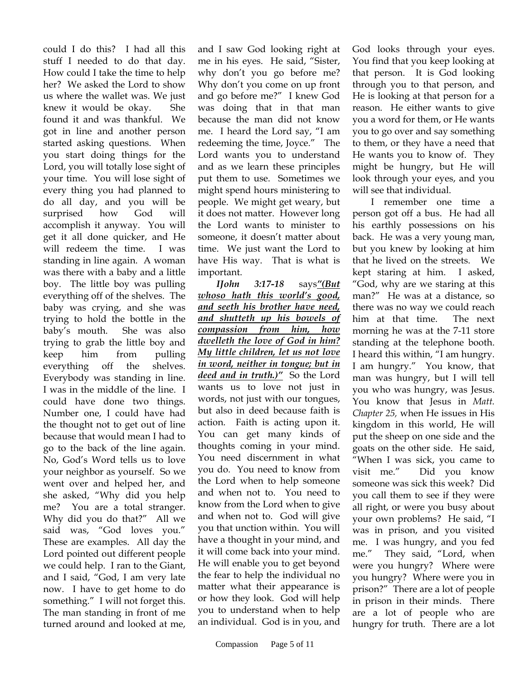could I do this? I had all this stuff I needed to do that day. How could I take the time to help her? We asked the Lord to show us where the wallet was. We just knew it would be okay. She found it and was thankful. We got in line and another person started asking questions. When you start doing things for the Lord, you will totally lose sight of your time. You will lose sight of every thing you had planned to do all day, and you will be surprised how God will accomplish it anyway. You will get it all done quicker, and He will redeem the time. I was standing in line again. A woman was there with a baby and a little boy. The little boy was pulling everything off of the shelves. The baby was crying, and she was trying to hold the bottle in the baby's mouth. She was also trying to grab the little boy and keep him from pulling everything off the shelves. Everybody was standing in line. I was in the middle of the line. I could have done two things. Number one, I could have had the thought not to get out of line because that would mean I had to go to the back of the line again. No, God's Word tells us to love your neighbor as yourself. So we went over and helped her, and she asked, "Why did you help me? You are a total stranger. Why did you do that?" All we said was, "God loves you." These are examples. All day the Lord pointed out different people we could help. I ran to the Giant, and I said, "God, I am very late now. I have to get home to do something." I will not forget this. The man standing in front of me turned around and looked at me,

and I saw God looking right at me in his eyes. He said, "Sister, why don't you go before me? Why don't you come on up front and go before me?" I knew God was doing that in that man because the man did not know me. I heard the Lord say, "I am redeeming the time, Joyce." The Lord wants you to understand and as we learn these principles put them to use. Sometimes we might spend hours ministering to people. We might get weary, but it does not matter. However long the Lord wants to minister to someone, it doesn't matter about time. We just want the Lord to have His way. That is what is important.

*IJohn 3:17-18* says*"(But whoso hath this world's good, and seeth his brother have need, and shutteth up his bowels of compassion from him, how dwelleth the love of God in him? My little children, let us not love in word, neither in tongue; but in deed and in truth.)"*So the Lord wants us to love not just in words, not just with our tongues, but also in deed because faith is action. Faith is acting upon it. You can get many kinds of thoughts coming in your mind. You need discernment in what you do. You need to know from the Lord when to help someone and when not to. You need to know from the Lord when to give and when not to. God will give you that unction within. You will have a thought in your mind, and it will come back into your mind. He will enable you to get beyond the fear to help the individual no matter what their appearance is or how they look. God will help you to understand when to help an individual. God is in you, and

God looks through your eyes. You find that you keep looking at that person. It is God looking through you to that person, and He is looking at that person for a reason. He either wants to give you a word for them, or He wants you to go over and say something to them, or they have a need that He wants you to know of. They might be hungry, but He will look through your eyes, and you will see that individual.

I remember one time a person got off a bus. He had all his earthly possessions on his back. He was a very young man, but you knew by looking at him that he lived on the streets. We kept staring at him. I asked, "God, why are we staring at this man?" He was at a distance, so there was no way we could reach him at that time. The next morning he was at the 7-11 store standing at the telephone booth. I heard this within, "I am hungry. I am hungry." You know, that man was hungry, but I will tell you who was hungry, was Jesus. You know that Jesus in *Matt. Chapter 25,* when He issues in His kingdom in this world, He will put the sheep on one side and the goats on the other side. He said, "When I was sick, you came to visit me." Did you know someone was sick this week? Did you call them to see if they were all right, or were you busy about your own problems? He said, "I was in prison, and you visited me. I was hungry, and you fed me." They said, "Lord, when were you hungry? Where were you hungry? Where were you in prison?" There are a lot of people in prison in their minds. There are a lot of people who are hungry for truth. There are a lot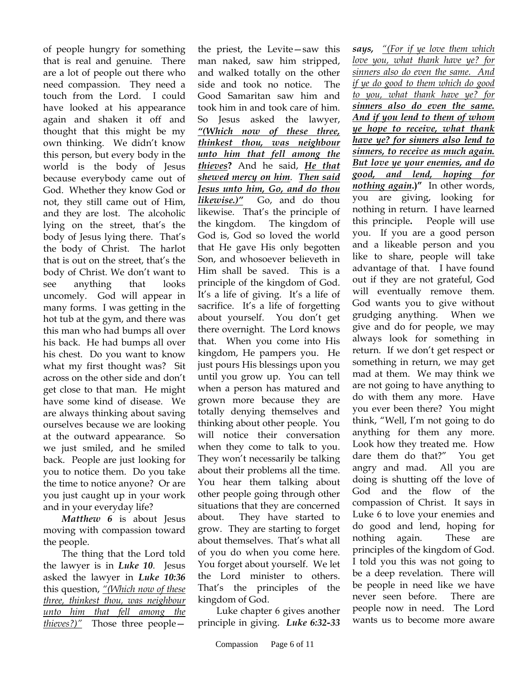of people hungry for something that is real and genuine. There are a lot of people out there who need compassion. They need a touch from the Lord. I could have looked at his appearance again and shaken it off and thought that this might be my own thinking. We didn't know this person, but every body in the world is the body of Jesus because everybody came out of God. Whether they know God or not, they still came out of Him, and they are lost. The alcoholic lying on the street, that's the body of Jesus lying there. That's the body of Christ. The harlot that is out on the street, that's the body of Christ. We don't want to see anything that looks uncomely. God will appear in many forms. I was getting in the hot tub at the gym, and there was this man who had bumps all over his back. He had bumps all over his chest. Do you want to know what my first thought was? Sit across on the other side and don't get close to that man. He might have some kind of disease. We are always thinking about saving ourselves because we are looking at the outward appearance. So we just smiled, and he smiled back. People are just looking for you to notice them. Do you take the time to notice anyone? Or are you just caught up in your work and in your everyday life?

*Matthew 6* is about Jesus moving with compassion toward the people.

The thing that the Lord told the lawyer is in *Luke 10*. Jesus asked the lawyer in *Luke 10:36* this question, *"(Which now of these three, thinkest thou, was neighbour unto him that fell among the thieves?)"* Those three peoplethe priest, the Levite—saw this man naked, saw him stripped, and walked totally on the other side and took no notice. The Good Samaritan saw him and took him in and took care of him. So Jesus asked the lawyer, *"(Which now of these three, thinkest thou, was neighbour unto him that fell among the thieves***?** And he said, *He that shewed mercy on him*. *Then said Jesus unto him, Go, and do thou likewise.)"* Go, and do thou likewise. That's the principle of the kingdom. The kingdom of God is, God so loved the world that He gave His only begotten Son, and whosoever believeth in Him shall be saved. This is a principle of the kingdom of God. It's a life of giving. It's a life of sacrifice. It's a life of forgetting about yourself. You don't get there overnight. The Lord knows that. When you come into His kingdom, He pampers you. He just pours His blessings upon you until you grow up. You can tell when a person has matured and grown more because they are totally denying themselves and thinking about other people. You will notice their conversation when they come to talk to you. They won't necessarily be talking about their problems all the time. You hear them talking about other people going through other situations that they are concerned about. They have started to grow. They are starting to forget about themselves. That's what all of you do when you come here. You forget about yourself. We let the Lord minister to others. That's the principles of the kingdom of God.

Luke chapter 6 gives another principle in giving. *Luke 6:32-33* 

*says, "(For if ye love them which love you, what thank have ye? for sinners also do even the same. And if ye do good to them which do good to you, what thank have ye? for sinners also do even the same. And if you lend to them of whom ye hope to receive, what thank have ye? for sinners also lend to sinners, to receive as much again. But love ye your enemies, and do good, and lend, hoping for nothing again***.)"** In other words, you are giving, looking for nothing in return. I have learned this principle**.** People will use you. If you are a good person and a likeable person and you like to share, people will take advantage of that. I have found out if they are not grateful, God will eventually remove them. God wants you to give without grudging anything. When we give and do for people, we may always look for something in return. If we don't get respect or something in return, we may get mad at them. We may think we are not going to have anything to do with them any more. Have you ever been there? You might think, "Well, I'm not going to do anything for them any more. Look how they treated me. How dare them do that?" You get angry and mad. All you are doing is shutting off the love of God and the flow of the compassion of Christ. It says in Luke 6 to love your enemies and do good and lend, hoping for nothing again. These are principles of the kingdom of God. I told you this was not going to be a deep revelation. There will be people in need like we have never seen before. There are people now in need. The Lord wants us to become more aware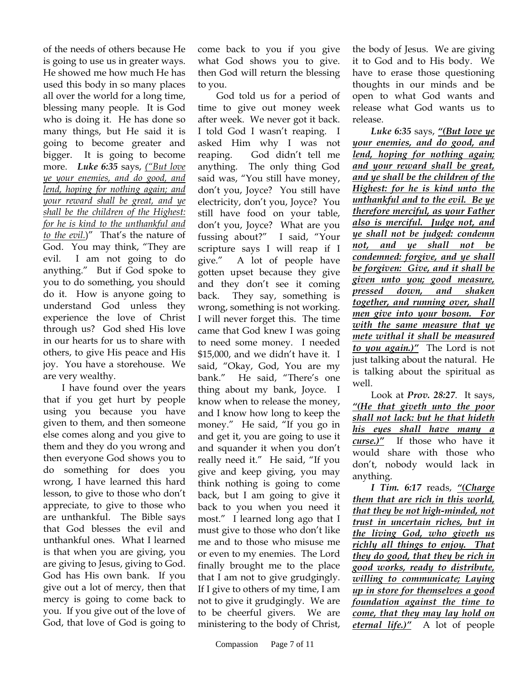of the needs of others because He is going to use us in greater ways. He showed me how much He has used this body in so many places all over the world for a long time, blessing many people. It is God who is doing it. He has done so many things, but He said it is going to become greater and bigger. It is going to become more. *Luke 6:35* says, *("But love ye your enemies, and do good, and lend, hoping for nothing again; and your reward shall be great, and ye shall be the children of the Highest: for he is kind to the unthankful and to the evil.*)" That's the nature of God. You may think, "They are evil. I am not going to do anything." But if God spoke to you to do something, you should do it. How is anyone going to understand God unless they experience the love of Christ through us? God shed His love in our hearts for us to share with others, to give His peace and His joy. You have a storehouse. We are very wealthy.

I have found over the years that if you get hurt by people using you because you have given to them, and then someone else comes along and you give to them and they do you wrong and then everyone God shows you to do something for does you wrong, I have learned this hard lesson, to give to those who don't appreciate, to give to those who are unthankful. The Bible says that God blesses the evil and unthankful ones. What I learned is that when you are giving, you are giving to Jesus, giving to God. God has His own bank. If you give out a lot of mercy, then that mercy is going to come back to you. If you give out of the love of God, that love of God is going to

come back to you if you give what God shows you to give. then God will return the blessing to you.

God told us for a period of time to give out money week after week. We never got it back. I told God I wasn't reaping. I asked Him why I was not reaping. God didn't tell me anything. The only thing God said was, "You still have money, don't you, Joyce? You still have electricity, don't you, Joyce? You still have food on your table, don't you, Joyce? What are you fussing about?" I said, "Your scripture says I will reap if I give." A lot of people have gotten upset because they give and they don't see it coming back. They say, something is wrong, something is not working. I will never forget this. The time came that God knew I was going to need some money. I needed \$15,000, and we didn't have it. I said, "Okay, God, You are my bank." He said, "There's one thing about my bank, Joyce. I know when to release the money, and I know how long to keep the money." He said, "If you go in and get it, you are going to use it and squander it when you don't really need it." He said, "If you give and keep giving, you may think nothing is going to come back, but I am going to give it back to you when you need it most." I learned long ago that I must give to those who don't like me and to those who misuse me or even to my enemies. The Lord finally brought me to the place that I am not to give grudgingly. If I give to others of my time, I am not to give it grudgingly. We are to be cheerful givers. We are ministering to the body of Christ,

the body of Jesus. We are giving it to God and to His body. We have to erase those questioning thoughts in our minds and be open to what God wants and release what God wants us to release.

*Luke 6:35* says, *"(But love ye your enemies, and do good, and lend, hoping for nothing again; and your reward shall be great, and ye shall be the children of the Highest: for he is kind unto the unthankful and to the evil. Be ye therefore merciful, as your Father also is merciful. Judge not, and ye shall not be judged: condemn not, and ye shall not be condemned: forgive, and ye shall be forgiven: Give, and it shall be given unto you; good measure, pressed down, and shaken together, and running over, shall men give into your bosom. For with the same measure that ye mete withal it shall be measured to you again.)"* The Lord is not just talking about the natural. He is talking about the spiritual as well.

Look at *Prov. 28:27*. It says, *"(He that giveth unto the poor shall not lack: but he that hideth his eyes shall have many a curse.)"* If those who have it would share with those who don't, nobody would lack in anything.

*I Tim. 6:17* reads, *"(Charge them that are rich in this world, that they be not high-minded, not trust in uncertain riches, but in the living God, who giveth us richly all things to enjoy. That they do good, that they be rich in good works, ready to distribute, willing to communicate; Laying up in store for themselves a good foundation against the time to come, that they may lay hold on eternal life.)"* A lot of people